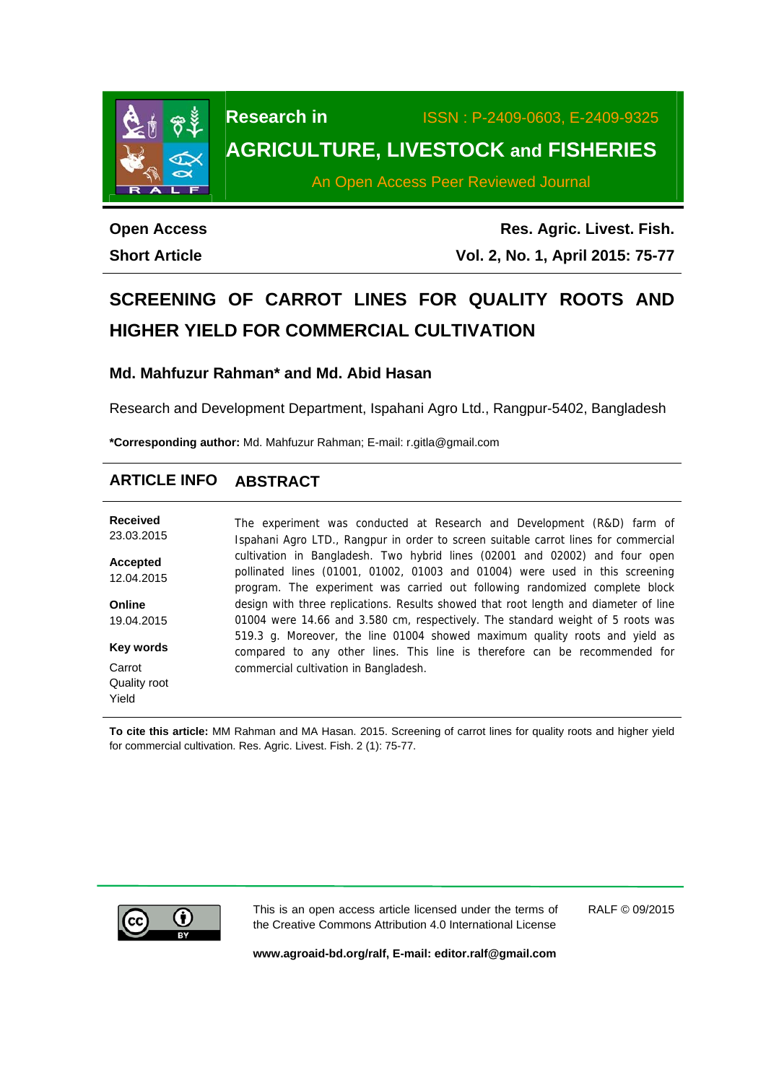

## **Research in** ISSN : P-2409-0603, E-2409-9325 **AGRICULTURE, LIVESTOCK and FISHERIES**

An Open Access Peer Reviewed Journal

**Open Access Short Article** 

**Res. Agric. Livest. Fish. Vol. 2, No. 1, April 2015: 75-77**

# **SCREENING OF CARROT LINES FOR QUALITY ROOTS AND HIGHER YIELD FOR COMMERCIAL CULTIVATION**

#### **Md. Mahfuzur Rahman\* and Md. Abid Hasan**

Research and Development Department, Ispahani Agro Ltd., Rangpur-5402, Bangladesh

**\*Corresponding author:** Md. Mahfuzur Rahman; E-mail: r.gitla@gmail.com

### **ARTICLE INFO ABSTRACT**

| Received<br>23.03.2015 | The experiment was conducted at Research and Development (R&D) farm of<br>Ispahani Agro LTD., Rangpur in order to screen suitable carrot lines for commercial                                                                              |  |  |  |  |  |
|------------------------|--------------------------------------------------------------------------------------------------------------------------------------------------------------------------------------------------------------------------------------------|--|--|--|--|--|
| Accepted<br>12.04.2015 | cultivation in Bangladesh. Two hybrid lines (02001 and 02002) and four open<br>pollinated lines (01001, 01002, 01003 and 01004) were used in this screening<br>program. The experiment was carried out following randomized complete block |  |  |  |  |  |
| Online                 | design with three replications. Results showed that root length and diameter of line                                                                                                                                                       |  |  |  |  |  |
| 19.04.2015             | 01004 were 14.66 and 3.580 cm, respectively. The standard weight of 5 roots was                                                                                                                                                            |  |  |  |  |  |
| Key words              | 519.3 g. Moreover, the line 01004 showed maximum quality roots and yield as<br>compared to any other lines. This line is therefore can be recommended for                                                                                  |  |  |  |  |  |
| Carrot                 | commercial cultivation in Bangladesh.                                                                                                                                                                                                      |  |  |  |  |  |
| Quality root           |                                                                                                                                                                                                                                            |  |  |  |  |  |
| Yield                  |                                                                                                                                                                                                                                            |  |  |  |  |  |

**To cite this article:** MM Rahman and MA Hasan. 2015. Screening of carrot lines for quality roots and higher yield for commercial cultivation. Res. Agric. Livest. Fish. 2 (1): 75-77.



This is an open access article licensed under the terms of the Creative Commons Attribution 4.0 International License

RALF © 09/2015

**www.agroaid-bd.org/ralf, E-mail: editor.ralf@gmail.com**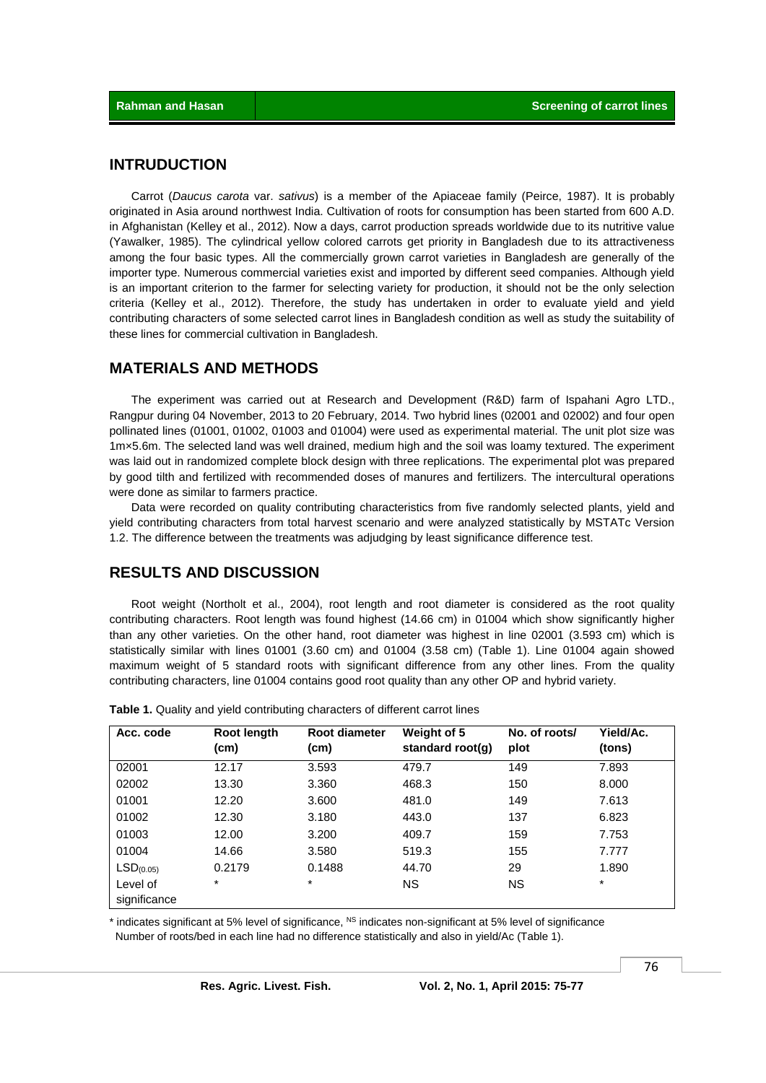#### **INTRUDUCTION**

 Carrot (*Daucus carota* var. *sativus*) is a member of the Apiaceae family (Peirce, 1987). It is probably originated in Asia around northwest India. Cultivation of roots for consumption has been started from 600 A.D. in Afghanistan (Kelley et al., 2012). Now a days, carrot production spreads worldwide due to its nutritive value (Yawalker, 1985). The cylindrical yellow colored carrots get priority in Bangladesh due to its attractiveness among the four basic types. All the commercially grown carrot varieties in Bangladesh are generally of the importer type. Numerous commercial varieties exist and imported by different seed companies. Although yield is an important criterion to the farmer for selecting variety for production, it should not be the only selection criteria (Kelley et al., 2012). Therefore, the study has undertaken in order to evaluate yield and yield contributing characters of some selected carrot lines in Bangladesh condition as well as study the suitability of these lines for commercial cultivation in Bangladesh.

#### **MATERIALS AND METHODS**

 The experiment was carried out at Research and Development (R&D) farm of Ispahani Agro LTD., Rangpur during 04 November, 2013 to 20 February, 2014. Two hybrid lines (02001 and 02002) and four open pollinated lines (01001, 01002, 01003 and 01004) were used as experimental material. The unit plot size was 1m×5.6m. The selected land was well drained, medium high and the soil was loamy textured. The experiment was laid out in randomized complete block design with three replications. The experimental plot was prepared by good tilth and fertilized with recommended doses of manures and fertilizers. The intercultural operations were done as similar to farmers practice.

 Data were recorded on quality contributing characteristics from five randomly selected plants, yield and yield contributing characters from total harvest scenario and were analyzed statistically by MSTATc Version 1.2. The difference between the treatments was adjudging by least significance difference test.

#### **RESULTS AND DISCUSSION**

 Root weight (Northolt et al., 2004), root length and root diameter is considered as the root quality contributing characters. Root length was found highest (14.66 cm) in 01004 which show significantly higher than any other varieties. On the other hand, root diameter was highest in line 02001 (3.593 cm) which is statistically similar with lines 01001 (3.60 cm) and 01004 (3.58 cm) (Table 1). Line 01004 again showed maximum weight of 5 standard roots with significant difference from any other lines. From the quality contributing characters, line 01004 contains good root quality than any other OP and hybrid variety.

| Acc. code             | Root length<br>(cm) | <b>Root diameter</b><br>(cm) | Weight of 5<br>standard root(q) | No. of roots/<br>plot | Yield/Ac.<br>(tons) |
|-----------------------|---------------------|------------------------------|---------------------------------|-----------------------|---------------------|
| 02001                 | 12.17               | 3.593                        | 479.7                           | 149                   | 7.893               |
| 02002                 | 13.30               | 3.360                        | 468.3                           | 150                   | 8.000               |
| 01001                 | 12.20               | 3.600                        | 481.0                           | 149                   | 7.613               |
| 01002                 | 12.30               | 3.180                        | 443.0                           | 137                   | 6.823               |
| 01003                 | 12.00               | 3.200                        | 409.7                           | 159                   | 7.753               |
| 01004                 | 14.66               | 3.580                        | 519.3                           | 155                   | 7.777               |
| LSD <sub>(0.05)</sub> | 0.2179              | 0.1488                       | 44.70                           | 29                    | 1.890               |
| Level of              | $^\star$            | $\star$                      | <b>NS</b>                       | <b>NS</b>             | $\ast$              |
| significance          |                     |                              |                                 |                       |                     |

**Table 1.** Quality and yield contributing characters of different carrot lines

indicates significant at 5% level of significance,  $^{NS}$  indicates non-significant at 5% level of significance Number of roots/bed in each line had no difference statistically and also in yield/Ac (Table 1).